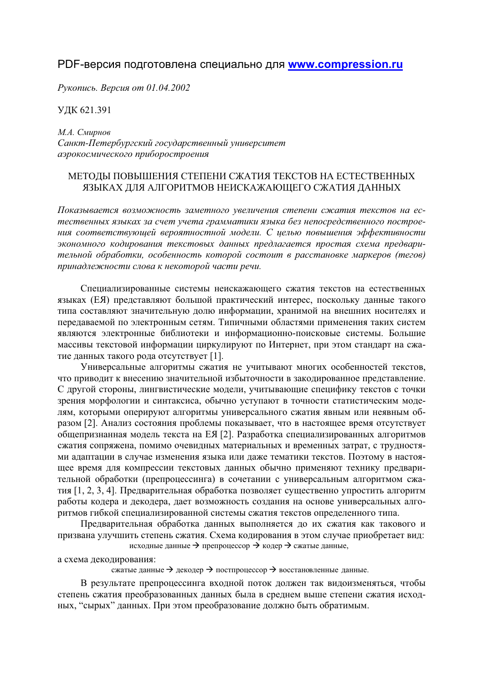## PDF-версия подготовлена специально для **www.compression.ru**

 $Pykonuc$ *ь. Версия от 01.04.2002* 

ɍȾɄ 621.391

 $M.A.$  *Смирнов* Санкт-Петербургский государственный университет  $a$ эрокосмического приборостроения

## МЕТОДЫ ПОВЫШЕНИЯ СТЕПЕНИ СЖАТИЯ ТЕКСТОВ НА ЕСТЕСТВЕННЫХ ЯЗЫКАХ ДЛЯ АЛГОРИТМОВ НЕИСКАЖАЮЩЕГО СЖАТИЯ ДАННЫХ

Показывается возможность заметного увеличения степени сжатия текстов на естественных языках за счет учета грамматики языка без непосредственного построения соответствующей вероятностной модели. С целью повышения эффективности экономного кодирования текстовых данных предлагается простая схема предвари $m$ ельной обработки, особенность которой состоит в расстановке маркеров (тегов) принадлежности слова к некоторой части речи.

Специализированные системы неискажающего сжатия текстов на естественных языках (ЕЯ) представляют большой практический интерес, поскольку данные такого типа составляют значительную долю информации, хранимой на внешних носителях и передаваемой по электронным сетям. Типичными областями применения таких систем являются электронные библиотеки и информационно-поисковые системы. Большие массивы текстовой информации циркулируют по Интернет, при этом стандарт на сжатие данных такого рода отсутствует [1].

Универсальные алгоритмы сжатия не учитывают многих особенностей текстов, что приводит к внесению значительной избыточности в закодированное представление. С другой стороны, лингвистические модели, учитывающие специфику текстов с точки зрения морфологии и синтаксиса, обычно уступают в точности статистическим моделям, которыми оперируют алгоритмы универсального сжатия явным или неявным образом [2]. Анализ состояния проблемы показывает, что в настоящее время отсутствует общепризнанная модель текста на ЕЯ [2]. Разработка специализированных алгоритмов сжатия сопряжена, помимо очевидных материальных и временных затрат, с трудностями адаптации в случае изменения языка или даже тематики текстов. Поэтому в настоящее время для компрессии текстовых данных обычно применяют технику предварительной обработки (препроцессинга) в сочетании с универсальным алгоритмом сжатия [1, 2, 3, 4]. Предварительная обработка позволяет существенно упростить алгоритм работы кодера и декодера, дает возможность создания на основе универсальных алгоритмов гибкой специализированной системы сжатия текстов определенного типа.

Предварительная обработка данных выполняется до их сжатия как такового и призвана улучшить степень сжатия. Схема кодирования в этом случае приобретает вид: исходные данные → препроцессор → кодер → сжатые данные,

а схема декодирования:

сжатые данные  $\rightarrow$  декодер  $\rightarrow$  постпроцессор  $\rightarrow$  восстановленные данные.

В результате препроцессинга входной поток должен так видоизменяться, чтобы степень сжатия преобразованных данных была в среднем выше степени сжатия исходных, "сырых" данных. При этом преобразование должно быть обратимым.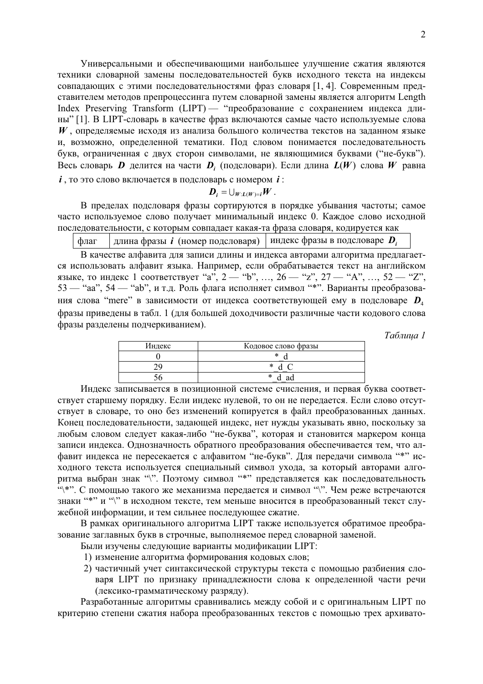Универсальными и обеспечивающими наибольшее улучшение сжатия являются техники словарной замены последовательностей букв исходного текста на индексы совпадающих с этими последовательностями фраз словаря [1, 4]. Современным представителем методов препроцессинга путем словарной замены является алгоритм Length Index Preserving Transform (LIPT) — "преобразование с сохранением индекса длины" [1]. В LIPT-словарь в качестве фраз включаются самые часто используемые слова *W*, определяемые исходя из анализа большого количества текстов на заданном языке и, возможно, определенной тематики. Под словом понимается последовательность букв, ограниченная с двух сторон символами, не являющимися буквами ("не-букв"). Bесь словарь *D* делится на части *D<sub>i</sub>* (подсловари). Если длина  $L(W)$  слова *W* равна  $i$ , то это слово включается в подсловарь с номером  $i$ :

$$
\boldsymbol{D}_i = \bigcup_{W:L(W)=i} W.
$$

В пределах подсловаря фразы сортируются в порядке убывания частоты; самое часто используемое слово получает минимальный индекс 0. Каждое слово исходной последовательности, с которым совпадает какая-та фраза словаря, кодируется как

 $\phi$ лаг  $\parallel$ длина фразы *i* (номер подсловаря)  $\parallel$ индекс фразы в подсловаре  $\bm{D}_i$ 

В качестве алфавита для записи длины и индекса авторами алгоритма предлагается использовать алфавит языка. Например, если обрабатывается текст на английском языке, то индекс 1 соответствует "а", 2 — "b", ..., 26 — "z", 27 — "А", ..., 52 — "Z", 53 — "aa", 54 — "ab", и т.д. Роль флага исполняет символ "\*". Варианты преобразования слова "mere" в зависимости от индекса соответствующей ему в подсловаре  $D_4$ фразы приведены в табл. 1 (для большей доходчивости различные части кодового слова фразы разделены подчеркиванием).

 $Ta6$ лица 1

| Индекс | Кодовое слово фразы |
|--------|---------------------|
|        | ∗                   |
|        | $\ast$              |
|        | ∗<br>9C             |

Индекс записывается в позиционной системе счисления, и первая буква соответствует старшему порядку. Если индекс нулевой, то он не передается. Если слово отсутствует в словаре, то оно без изменений копируется в файл преобразованных данных. Конец последовательности, задающей индекс, нет нужды указывать явно, поскольку за любым словом следует какая-либо "не-буква", которая и становится маркером конца записи индекса. Однозначность обратного преобразования обеспечивается тем, что алфавит индекса не пересекается с алфавитом "не-букв". Для передачи символа "\*" исходного текста используется специальный символ ухода, за который авторами алгоритма выбран знак "\". Поэтому символ "\*" представляется как последовательность  $\cdot$ "\\*". С помощью такого же механизма передается и символ "\". Чем реже встречаются знаки "\*" и "\" в исходном тексте, тем меньше вносится в преобразованный текст служебной информации, и тем сильнее последующее сжатие.

В рамках оригинального алгоритма LIPT также используется обратимое преобразование заглавных букв в строчные, выполняемое перед словарной заменой.

Были изучены следующие варианты модификации LIPT:

- 1) изменение алгоритма формирования кодовых слов;
- 2) частичный учет синтаксической структуры текста с помощью разбиения словаря LIPT по признаку принадлежности слова к определенной части речи (лексико-грамматическому разряду).

Разработанные алгоритмы сравнивались между собой и с оригинальным LIPT по критерию степени сжатия набора преобразованных текстов с помощью трех архивато-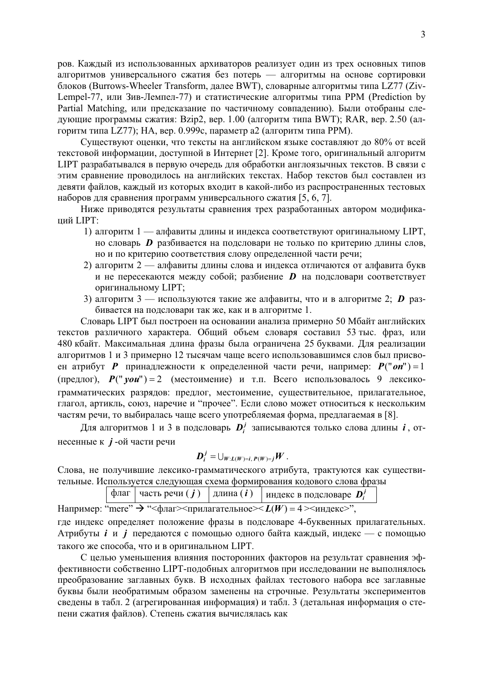ров. Каждый из использованных архиваторов реализует один из трех основных типов алгоритмов универсального сжатия без потерь — алгоритмы на основе сортировки блоков (Burrows-Wheeler Transform, далее BWT), словарные алгоритмы типа LZ77 (Ziv-Lempel-77, или Зив-Лемпел-77) и статистические алгоритмы типа PPM (Prediction by Partial Matching, или предсказание по частичному совпадению). Были отобраны следующие программы сжатия: Bzip2, вер. 1.00 (алгоритм типа BWT); RAR, вер. 2.50 (алгоритм типа LZ77); НА, вер. 0.999с, параметр а2 (алгоритм типа PPM).

Существуют оценки, что тексты на английском языке составляют до 80% от всей текстовой информации, доступной в Интернет [2]. Кроме того, оригинальный алгоритм LIPT разрабатывался в первую очередь для обработки англоязычных текстов. В связи с этим сравнение проводилось на английских текстах. Набор текстов был составлен из девяти файлов, каждый из которых входит в какой-либо из распространенных тестовых наборов для сравнения программ универсального сжатия [5, 6, 7].

Ниже приводятся результаты сравнения трех разработанных автором модифика**ший LIPT:** 

- 1) алгоритм 1 алфавиты длины и индекса соответствуют оригинальному LIPT, но словарь *D* разбивается на подсловари не только по критерию длины слов, но и по критерию соответствия слову определенной части речи;
- 2) алгоритм 2 алфавиты длины слова и индекса отличаются от алфавита букв и не пересекаются между собой; разбиение **D** на подсловари соответствует оригинальному LIPT:
- 3) алгоритм 3 используются такие же алфавиты, что и в алгоритме 2;  $\bm{D}$  разбивается на подсловари так же, как и в алгоритме 1.

Словарь LIPT был построен на основании анализа примерно 50 Мбайт английских текстов различного характера. Общий объем словаря составил 53 тыс. фраз, или 480 кбайт. Максимальная длина фразы была ограничена 25 буквами. Для реализации алгоритмов 1 и 3 примерно 12 тысячам чаще всего использовавшимся слов был присвоен атрибут  $P$  принадлежности к определенной части речи, например:  $P("on") = 1$  $(nepegof)$ ,  $P(" you") = 2$   $(necToMMEHHE)$   $H$   $T.H.$  Bcero  $MCDJ530B4JOCB$  9  $J.$ ексикограмматических разрядов: предлог, местоимение, существительное, прилагательное, глагол, артикль, союз, наречие и "прочее". Если слово может относиться к нескольким частям речи, то выбиралась чаще всего употребляемая форма, предлагаемая в [8].

Для алгоритмов 1 и 3 в подсловарь  $D_i^j$  записываются только слова длины  $i$ , отнесенные к *j* -ой части речи

$$
\boldsymbol{D}_i^j = \bigcup_{W:L(W)=i,\, P(W)=j} W.
$$

Слова, не получившие лексико-грамматического атрибута, трактуются как существительные. Используется следующая схема формирования кодового слова фразы

флаг | часть речи $(j)$  | длина $(i)$  | индекс в подсловаре  $\mathbf{D}_i^j$ 

Например: "mere"  $\rightarrow$  " $\leq$ флаг $\geq$ прилагательное $\geq$   $L(W) = 4 \geq$ индекс $\geq$ ",

где индекс определяет положение фразы в подсловаре 4-буквенных прилагательных. Атрибуты *i* и *j* передаются с помощью одного байта каждый, индекс — с помощью такого же способа, что и в оригинальном LIPT.

С целью уменьшения влияния посторонних факторов на результат сравнения эффективности собственно LIPT-подобных алгоритмов при исследовании не выполнялось преобразование заглавных букв. В исходных файлах тестового набора все заглавные буквы были необратимым образом заменены на строчные. Результаты экспериментов сведены в табл. 2 (агрегированная информация) и табл. 3 (детальная информация о степени сжатия файлов). Степень сжатия вычислялась как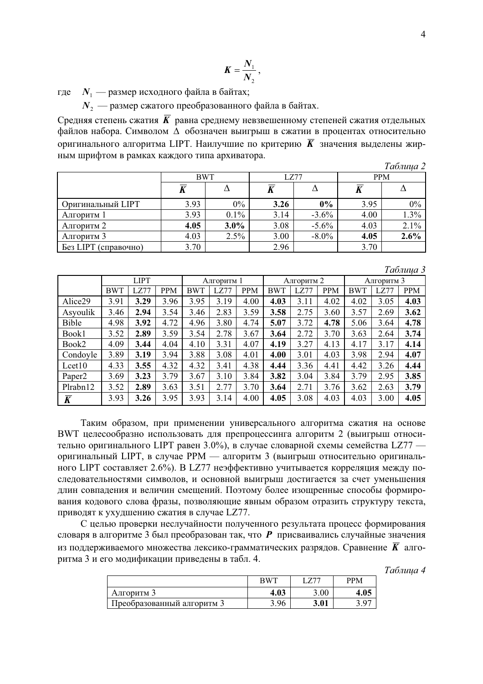$$
K=\frac{N_1}{N_2},
$$

где  $N_1$  — размер исходного файла в байтах;

*N*<sub>2</sub> — размер сжатого преобразованного файла в байтах.

Средняя степень сжатия  $\overline{K}$  равна среднему невзвешенному степеней сжатия отдельных файлов набора. Символом ∆ обозначен выигрыш в сжатии в процентах относительно оригинального алгоритма LIPT. Наилучшие по критерию  $\overline{K}$  значения выделены жирным шрифтом в рамках каждого типа архиватора.

|  | 1 аолииа |  |  |
|--|----------|--|--|
|--|----------|--|--|

*Ɍɚɛɥɢɰɚ 3*

|                                | <b>BWT</b> |         | LZ77 |          | <b>PPM</b> |      |  |
|--------------------------------|------------|---------|------|----------|------------|------|--|
|                                |            |         |      |          |            |      |  |
| Оригинальный LIPT              | 3.93       | $0\%$   | 3.26 | 0%       | 3.95       | 0%   |  |
| Алгоритм 1                     | 3.93       | $0.1\%$ | 3.14 | $-3.6\%$ | 4.00       | 1.3% |  |
| Алгоритм 2                     | 4.05       | $3.0\%$ | 3.08 | $-5.6\%$ | 4.03       | 2.1% |  |
| Алгоритм 3                     | 4.03       | 2.5%    | 3.00 | $-8.0\%$ | 4.05       | 2.6% |  |
| <b>Без LIPT</b><br>(справочно) | 3.70       |         | 2.96 |          | 3.70       |      |  |

|                    |             |      |            |            |      |            |            |      |            |            |      | - - - - - - - - - - - - |
|--------------------|-------------|------|------------|------------|------|------------|------------|------|------------|------------|------|-------------------------|
|                    | <b>LIPT</b> |      |            | Алгоритм 1 |      |            | Алгоритм 2 |      |            | Алгоритм 3 |      |                         |
|                    | <b>BWT</b>  | LZ77 | <b>PPM</b> | <b>BWT</b> | LZ77 | <b>PPM</b> | <b>BWT</b> | LZ77 | <b>PPM</b> | <b>BWT</b> | LZ77 | <b>PPM</b>              |
| Alice29            | 3.91        | 3.29 | 3.96       | 3.95       | 3.19 | 4.00       | 4.03       | 3.11 | 4.02       | 4.02       | 3.05 | 4.03                    |
| Asyoulik           | 3.46        | 2.94 | 3.54       | 3.46       | 2.83 | 3.59       | 3.58       | 2.75 | 3.60       | 3.57       | 2.69 | 3.62                    |
| Bible              | 4.98        | 3.92 | 4.72       | 4.96       | 3.80 | 4.74       | 5.07       | 3.72 | 4.78       | 5.06       | 3.64 | 4.78                    |
| Book1              | 3.52        | 2.89 | 3.59       | 3.54       | 2.78 | 3.67       | 3.64       | 2.72 | 3.70       | 3.63       | 2.64 | 3.74                    |
| Book2              | 4.09        | 3.44 | 4.04       | 4.10       | 3.31 | 4.07       | 4.19       | 3.27 | 4.13       | 4.17       | 3.17 | 4.14                    |
| Condoyle           | 3.89        | 3.19 | 3.94       | 3.88       | 3.08 | 4.01       | 4.00       | 3.01 | 4.03       | 3.98       | 2.94 | 4.07                    |
| Lcet10             | 4.33        | 3.55 | 4.32       | 4.32       | 3.41 | 4.38       | 4.44       | 3.36 | 4.41       | 4.42       | 3.26 | 4.44                    |
| Paper <sub>2</sub> | 3.69        | 3.23 | 3.79       | 3.67       | 3.10 | 3.84       | 3.82       | 3.04 | 3.84       | 3.79       | 2.95 | 3.85                    |
| Plrabn12           | 3.52        | 2.89 | 3.63       | 3.51       | 2.77 | 3.70       | 3.64       | 2.71 | 3.76       | 3.62       | 2.63 | 3.79                    |
| $\overline{K}$     | 3.93        | 3.26 | 3.95       | 3.93       | 3.14 | 4.00       | 4.05       | 3.08 | 4.03       | 4.03       | 3.00 | 4.05                    |

Таким образом, при применении универсального алгоритма сжатия на основе ВWT целесообразно использовать для препроцессинга алгоритм 2 (выигрыш относительно оригинального LIPT равен 3.0%), в случае словарной схемы семейства LZ77 оригинальный LIPT, в случае PPM — алгоритм 3 (выигрыш относительно оригинального LIPT составляет 2.6%). В LZ77 неэффективно учитывается корреляция между последовательностями символов, и основной выигрыш достигается за счет уменьшения длин совпадения и величин смещений. Поэтому более изощренные способы формирования кодового слова фразы, позволяющие явным образом отразить структуру текста, приводят к ухудшению сжатия в случае LZ77.

С целью проверки неслучайности полученного результата процесс формирования словаря в алгоритме 3 был преобразован так, что  $P$  присваивались случайные значения из поддерживаемого множества лексико-грамматических разрядов. Сравнение  $\overline{K}$  алгоритма 3 и его модификации приведены в табл. 4.

> $Ta6$ лииа 4 BWT LZ77 PPM Ⱥɥɝɨɪɢɬɦ 3 **4.03** 3.00 **4.05** Преобразованный алгоритм 3 **1 3.96 3.01** 3.97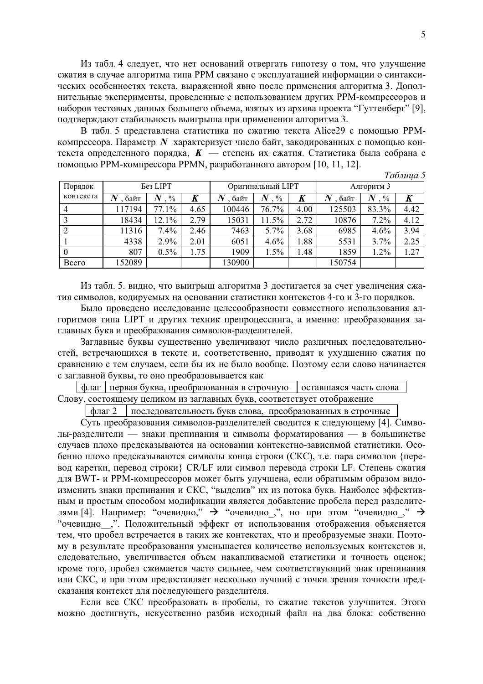Из табл. 4 следует, что нет оснований отвергать гипотезу о том, что улучшение сжатия в случае алгоритма типа РРМ связано с эксплуатацией информации о синтаксических особенностях текста, выраженной явно после применения алгоритма 3. Дополнительные эксперименты, проведенные с использованием других РРМ-компрессоров и наборов тестовых данных большего объема, взятых из архива проекта "Гуттенберг" [9], подтверждают стабильность выигрыша при применении алгоритма 3.

В табл. 5 представлена статистика по сжатию текста Alice29 с помощью PPMкомпрессора. Параметр *N* характеризует число байт, закодированных с помощью контекста определенного порядка,  $K$  — степень их сжатия. Статистика была собрана с помощью PPM-компрессора PPMN, разработанного автором [10, 11, 12].

*Ɍɚɛɥɢɰɚ 5*

| Порядок   |        | Без LIPT                 |                  | Оригинальный LIPT |       |      | $\overline{\phantom{a}}$<br>Алгоритм 3 |                           |      |
|-----------|--------|--------------------------|------------------|-------------------|-------|------|----------------------------------------|---------------------------|------|
| контекста | байт   | $\boldsymbol{N}$<br>$\%$ | $\boldsymbol{K}$ | байт              | $\%$  | K    | байт                                   | $\bm{N}$<br>$\frac{0}{0}$ | K    |
| 4         | 117194 | 77.1%                    | 4.65             | 100446            | 76.7% | 4.00 | 125503                                 | 83.3%                     | 4.42 |
|           | 18434  | 12.1%                    | 2.79             | 15031             | 11.5% | 2.72 | 10876                                  | $7.2\%$                   | 4.12 |
|           | 11316  | $7.4\%$                  | 2.46             | 7463              | 5.7%  | 3.68 | 6985                                   | 4.6%                      | 3.94 |
|           | 4338   | 2.9%                     | 2.01             | 6051              | 4.6%  | 1.88 | 5531                                   | 3.7%                      | 2.25 |
| $\bf{0}$  | 807    | 0.5%                     | 1.75             | 1909              | 1.5%  | 1.48 | 1859                                   | 1.2%                      | 1.27 |
| Всего     | 152089 |                          |                  | 130900            |       |      | 150754                                 |                           |      |

Из табл. 5. видно, что выигрыш алгоритма 3 достигается за счет увеличения сжатия символов, кодируемых на основании статистики контекстов 4-го и 3-го порядков.

Было проведено исследование целесообразности совместного использования алгоритмов типа LIPT и других техник препроцессинга, а именно: преобразования заглавных букв и преобразования символов-разделителей.

Заглавные буквы существенно увеличивают число различных последовательностей, встречающихся в тексте и, соответственно, приводят к ухудшению сжатия по сравнению с тем случаем, если бы их не было вообще. Поэтому если слово начинается с заглавной буквы, то оно преобразовывается как

 $\theta$ лаг | первая буква, преобразованная в строчную | оставшаяся часть слова Слову, состоящему целиком из заглавных букв, соответствует отображение

 $\phi$ лаг 2  $\theta$  последовательность букв слова, преобразованных в строчные

Суть преобразования символов-разделителей сводится к следующему [4]. Символы-разделители — знаки препинания и символы форматирования — в большинстве случаев плохо предсказываются на основании контекстно-зависимой статистики. Особенно плохо предсказываются символы конца строки (СКС), т.е. пара символов {перевод каретки, перевод строки} CR/LF или символ перевода строки LF. Степень сжатия для BWT- и PPM-компрессоров может быть улучшена, если обратимым образом видоизменить знаки препинания и СКС, "выделив" их из потока букв. Наиболее эффективным и простым способом модификации является добавление пробела перед разделителями [4]. Например: "очевидно,"  $\rightarrow$  "очевидно<sub>,"</sub>, но при этом "очевидно<sub>,</sub>"  $\rightarrow$ "очевидно ,". Положительный эффект от использования отображения объясняется тем, что пробел встречается в таких же контекстах, что и преобразуемые знаки. Поэтому в результате преобразования уменьшается количество используемых контекстов и, следовательно, увеличивается объем накапливаемой статистики и точность оценок; кроме того, пробел сжимается часто сильнее, чем соответствующий знак препинания или СКС, и при этом предоставляет несколько лучший с точки зрения точности предсказания контекст для последующего разделителя.

Если все СКС преобразовать в пробелы, то сжатие текстов улучшится. Этого можно достигнуть, искусственно разбив исходный файл на два блока: собственно